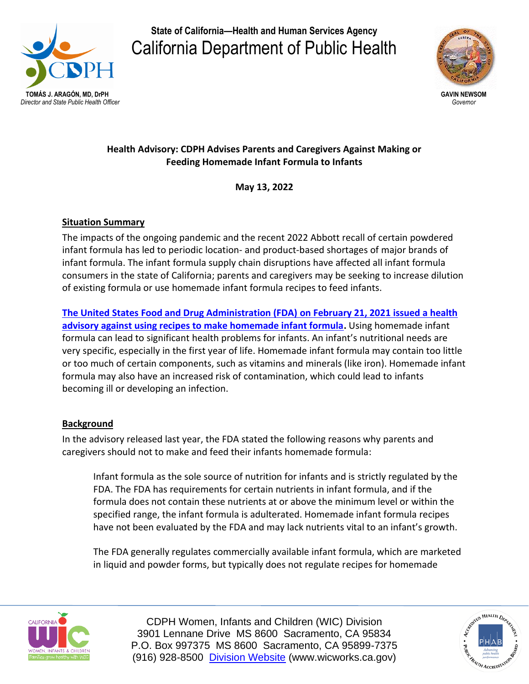

**State of California—Health and Human Services Agency**  California Department of Public Health



# **Health Advisory: CDPH Advises Parents and Caregivers Against Making or Feeding Homemade Infant Formula to Infants**

**May 13, 2022**

# **Situation Summary**

The impacts of the ongoing pandemic and the recent 2022 Abbott recall of certain powdered infant formula has led to periodic location- and product-based shortages of major brands of infant formula. The infant formula supply chain disruptions have affected all infant formula consumers in the state of California; parents and caregivers may be seeking to increase dilution of existing formula or use homemade infant formula recipes to feed infants.

**The United States [Food and Drug Administration \(FDA\)](https://www.fda.gov/food/alerts-advisories-safety-information/fda-advises-parents-and-caregivers-not-make-or-feed-homemade-infant-formula-infants) on February 21, 2021 issued a health advisory [against using recipes to make homemade infant formula.](https://www.fda.gov/food/alerts-advisories-safety-information/fda-advises-parents-and-caregivers-not-make-or-feed-homemade-infant-formula-infants)** Using homemade infant formula can lead to significant health problems for infants. An infant's nutritional needs are very specific, especially in the first year of life. Homemade infant formula may contain too little or too much of certain components, such as vitamins and minerals (like iron). Homemade infant formula may also have an increased risk of contamination, which could lead to infants becoming ill or developing an infection.

# **Background**

In the advisory released last year, the FDA stated the following reasons why parents and caregivers should not to make and feed their infants homemade formula:

Infant formula as the sole source of nutrition for infants and is strictly regulated by the FDA. The FDA has requirements for certain nutrients in infant formula, and if the formula does not contain these nutrients at or above the minimum level or within the specified range, the infant formula is adulterated. Homemade infant formula recipes have not been evaluated by the FDA and may lack nutrients vital to an infant's growth.

The FDA generally regulates commercially available infant formula, which are marketed in liquid and powder forms, but typically does not regulate recipes for homemade



CDPH Women, Infants and Children (WIC) Division 3901 Lennane Drive MS 8600 Sacramento, CA 95834 P.O. Box 997375 MS 8600 Sacramento, CA 95899-7375 (916) 928-8500 [Division Website](http://www.wicworks.ca.gov/) (www.wicworks.ca.gov)

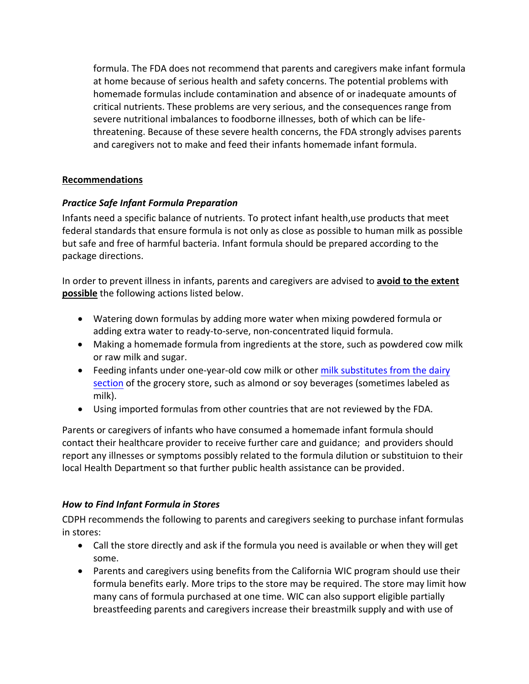formula. The FDA does not recommend that parents and caregivers make infant formula at home because of serious health and safety concerns. The potential problems with homemade formulas include contamination and absence of or inadequate amounts of critical nutrients. These problems are very serious, and the consequences range from severe nutritional imbalances to foodborne illnesses, both of which can be lifethreatening. Because of these severe health concerns, the FDA strongly advises parents and caregivers not to make and feed their infants homemade infant formula.

## **Recommendations**

## *Practice Safe Infant Formula Preparation*

Infants need a specific balance of nutrients. To protect infant health,use products that meet federal standards that ensure formula is not only as close as possible to human milk as possible but safe and free of harmful bacteria. Infant formula should be prepared according to the package directions.

In order to prevent illness in infants, parents and caregivers are advised to **avoid to the extent possible** the following actions listed below.

- Watering down formulas by adding more water when mixing powdered formula or adding extra water to ready-to-serve, non-concentrated liquid formula.
- Making a homemade formula from ingredients at the store, such as powdered cow milk or raw milk and sugar.
- Feeding infants under one-year-old cow milk or other milk substitutes from the dairy section [of the grocery store, such as almond or soy beverages \(sometimes labeled as](https://www.healthychildren.org/English/healthy-living/nutrition/Pages/Milk-Allergy-Foods-and-Ingredients-to-Avoid.aspx) milk).
- Using imported formulas from other countries that are not reviewed by the FDA.

Parents or caregivers of infants who have consumed a homemade infant formula should contact their healthcare provider to receive further care and guidance; and providers should report any illnesses or symptoms possibly related to the formula dilution or substituion to their local Health Department so that further public health assistance can be provided.

## *How to Find Infant Formula in Stores*

CDPH recommends the following to parents and caregivers seeking to purchase infant formulas in stores:

- Call the store directly and ask if the formula you need is available or when they will get some.
- Parents and caregivers using benefits from the California WIC program should use their formula benefits early. More trips to the store may be required. The store may limit how many cans of formula purchased at one time. WIC can also support eligible partially breastfeeding parents and caregivers increase their breastmilk supply and with use of